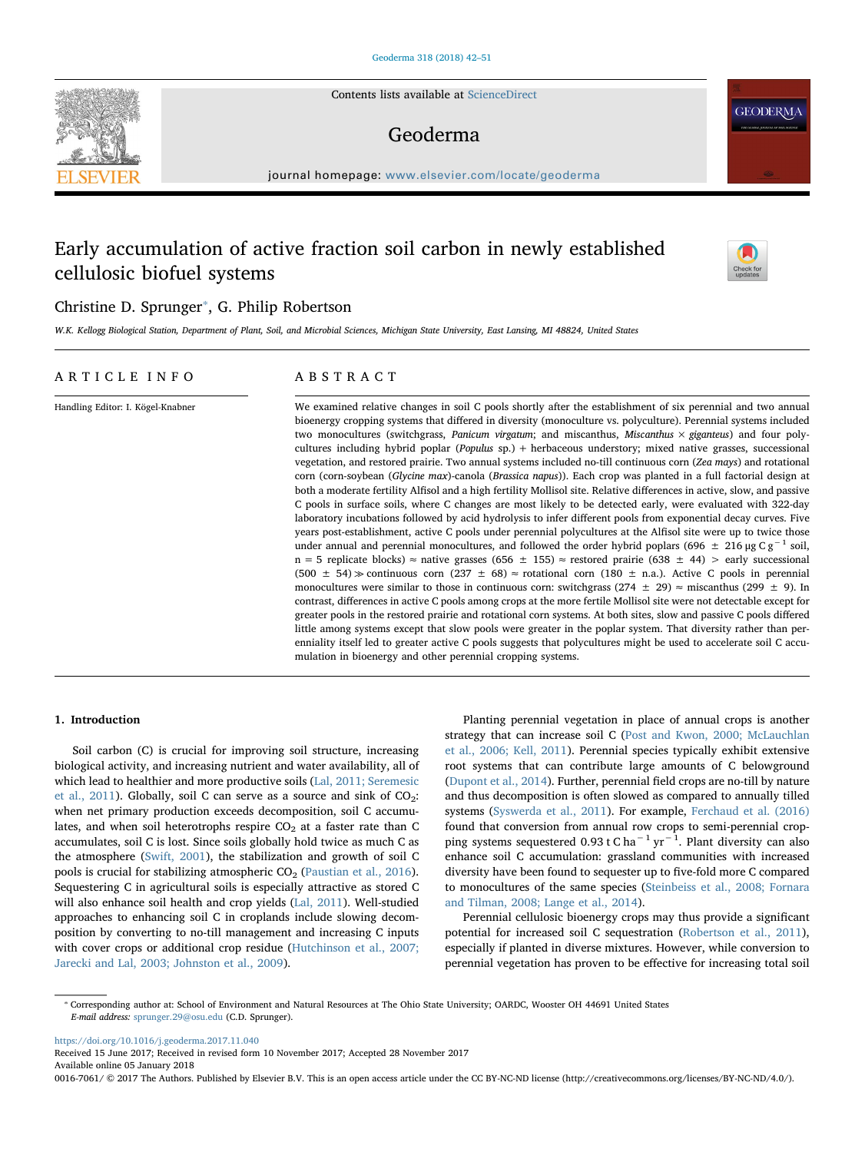Contents lists available at [ScienceDirect](http://www.sciencedirect.com/science/journal/00167061)

## Geoderma

journal homepage: [www.elsevier.com/locate/geoderma](https://www.elsevier.com/locate/geoderma)

# Early accumulation of active fraction soil carbon in newly established cellulosic biofuel systems

## Christine D. Sprunger<sup>\*</sup>, G. Philip Robertson

W.K. Kellogg Biological Station, Department of Plant, Soil, and Microbial Sciences, Michigan State University, East Lansing, MI 48824, United States

## ARTICLE INFO Handling Editor: I. Kögel-Knabner

## ABSTRACT

We examined relative changes in soil C pools shortly after the establishment of six perennial and two annual bioenergy cropping systems that differed in diversity (monoculture vs. polyculture). Perennial systems included two monocultures (switchgrass, Panicum virgatum; and miscanthus, Miscanthus  $\times$  giganteus) and four polycultures including hybrid poplar (Populus sp.) + herbaceous understory; mixed native grasses, successional vegetation, and restored prairie. Two annual systems included no-till continuous corn (Zea mays) and rotational corn (corn-soybean (Glycine max)-canola (Brassica napus)). Each crop was planted in a full factorial design at both a moderate fertility Alfisol and a high fertility Mollisol site. Relative differences in active, slow, and passive C pools in surface soils, where C changes are most likely to be detected early, were evaluated with 322-day laboratory incubations followed by acid hydrolysis to infer different pools from exponential decay curves. Five years post-establishment, active C pools under perennial polycultures at the Alfisol site were up to twice those under annual and perennial monocultures, and followed the order hybrid poplars (696  $\pm$  216 μg C g<sup>-1</sup> soil, n = 5 replicate blocks)  $\approx$  native grasses (656  $\pm$  155)  $\approx$  restored prairie (638  $\pm$  44) > early successional (500  $\pm$  54)  $\gg$  continuous corn (237  $\pm$  68)  $\approx$  rotational corn (180  $\pm$  n.a.). Active C pools in perennial monocultures were similar to those in continuous corn: switchgrass (274  $\pm$  29)  $\approx$  miscanthus (299  $\pm$  9). In contrast, differences in active C pools among crops at the more fertile Mollisol site were not detectable except for greater pools in the restored prairie and rotational corn systems. At both sites, slow and passive C pools differed little among systems except that slow pools were greater in the poplar system. That diversity rather than perenniality itself led to greater active C pools suggests that polycultures might be used to accelerate soil C accumulation in bioenergy and other perennial cropping systems.

#### 1. Introduction

Soil carbon (C) is crucial for improving soil structure, increasing biological activity, and increasing nutrient and water availability, all of which lead to healthier and more productive soils [\(Lal, 2011; Seremesic](#page-8-0) [et al., 2011\)](#page-8-0). Globally, soil C can serve as a source and sink of  $CO_2$ : when net primary production exceeds decomposition, soil C accumulates, and when soil heterotrophs respire  $CO<sub>2</sub>$  at a faster rate than C accumulates, soil C is lost. Since soils globally hold twice as much C as the atmosphere ([Swift, 2001\)](#page-9-0), the stabilization and growth of soil C pools is crucial for stabilizing atmospheric  $CO<sub>2</sub>$  [\(Paustian et al., 2016](#page-8-1)). Sequestering C in agricultural soils is especially attractive as stored C will also enhance soil health and crop yields ([Lal, 2011](#page-8-0)). Well-studied approaches to enhancing soil C in croplands include slowing decomposition by converting to no-till management and increasing C inputs with cover crops or additional crop residue [\(Hutchinson et al., 2007;](#page-8-2) [Jarecki and Lal, 2003; Johnston et al., 2009](#page-8-2)).

Planting perennial vegetation in place of annual crops is another strategy that can increase soil C ([Post and Kwon, 2000; McLauchlan](#page-8-3) [et al., 2006; Kell, 2011\)](#page-8-3). Perennial species typically exhibit extensive root systems that can contribute large amounts of C belowground ([Dupont et al., 2014\)](#page-8-4). Further, perennial field crops are no-till by nature and thus decomposition is often slowed as compared to annually tilled systems ([Syswerda et al., 2011](#page-9-1)). For example, [Ferchaud et al. \(2016\)](#page-8-5) found that conversion from annual row crops to semi-perennial cropping systems sequestered 0.93 t C ha<sup>-1</sup> yr<sup>-1</sup>. Plant diversity can also enhance soil C accumulation: grassland communities with increased diversity have been found to sequester up to five-fold more C compared to monocultures of the same species ([Steinbeiss et al., 2008; Fornara](#page-9-2) [and Tilman, 2008; Lange et al., 2014](#page-9-2)).

Perennial cellulosic bioenergy crops may thus provide a significant potential for increased soil C sequestration [\(Robertson et al., 2011](#page-8-6)), especially if planted in diverse mixtures. However, while conversion to perennial vegetation has proven to be effective for increasing total soil

<https://doi.org/10.1016/j.geoderma.2017.11.040>

Received 15 June 2017; Received in revised form 10 November 2017; Accepted 28 November 2017 Available online 05 January 2018

0016-7061/ © 2017 The Authors. Published by Elsevier B.V. This is an open access article under the CC BY-NC-ND license (http://creativecommons.org/licenses/BY-NC-ND/4.0/).







<span id="page-0-0"></span><sup>⁎</sup> Corresponding author at: School of Environment and Natural Resources at The Ohio State University; OARDC, Wooster OH 44691 United States E-mail address: [sprunger.29@osu.edu](mailto:sprunger.29@osu.edu) (C.D. Sprunger).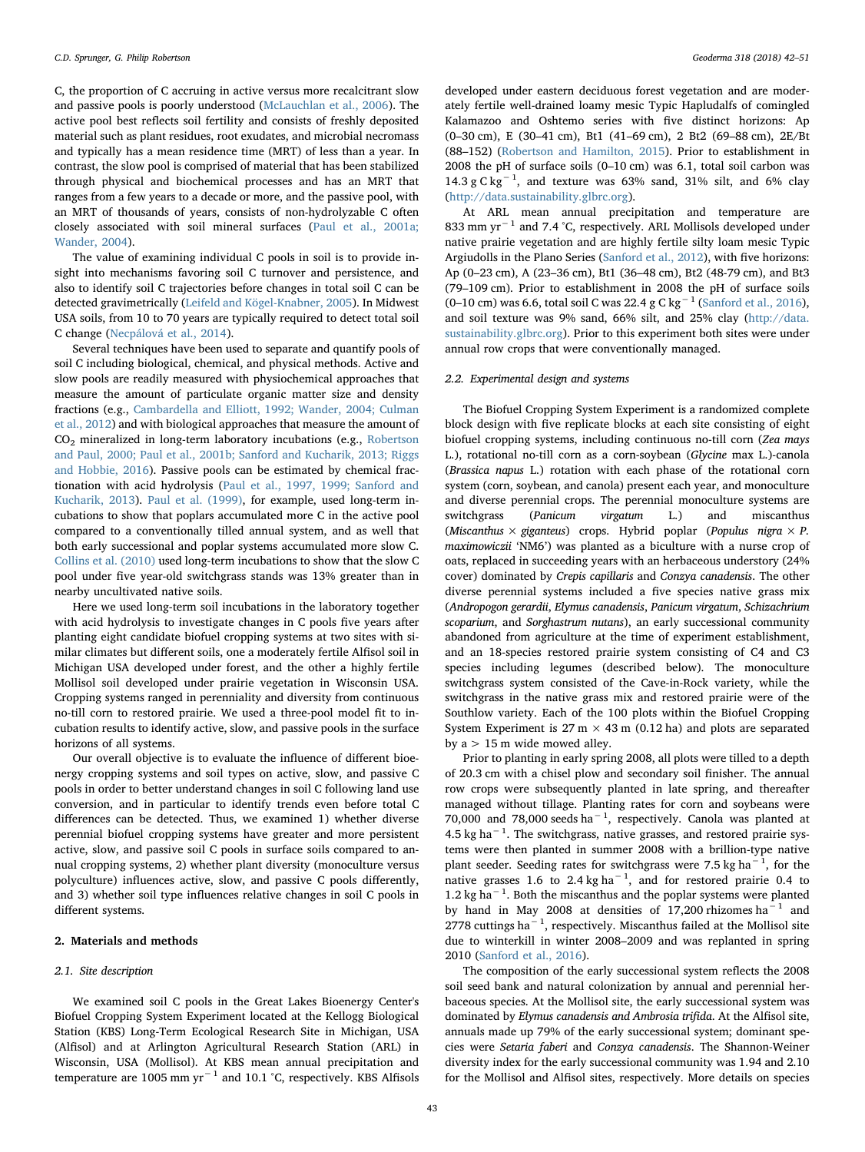C, the proportion of C accruing in active versus more recalcitrant slow and passive pools is poorly understood ([McLauchlan et al., 2006\)](#page-8-7). The active pool best reflects soil fertility and consists of freshly deposited material such as plant residues, root exudates, and microbial necromass and typically has a mean residence time (MRT) of less than a year. In contrast, the slow pool is comprised of material that has been stabilized through physical and biochemical processes and has an MRT that ranges from a few years to a decade or more, and the passive pool, with an MRT of thousands of years, consists of non-hydrolyzable C often closely associated with soil mineral surfaces ([Paul et al., 2001a;](#page-8-8) [Wander, 2004\)](#page-8-8).

The value of examining individual C pools in soil is to provide insight into mechanisms favoring soil C turnover and persistence, and also to identify soil C trajectories before changes in total soil C can be detected gravimetrically ([Leifeld and Kögel-Knabner, 2005\)](#page-8-9). In Midwest USA soils, from 10 to 70 years are typically required to detect total soil C change ([Necpálová et al., 2014](#page-8-10)).

Several techniques have been used to separate and quantify pools of soil C including biological, chemical, and physical methods. Active and slow pools are readily measured with physiochemical approaches that measure the amount of particulate organic matter size and density fractions (e.g., [Cambardella and Elliott, 1992; Wander, 2004; Culman](#page-8-11) [et al., 2012\)](#page-8-11) and with biological approaches that measure the amount of CO2 mineralized in long-term laboratory incubations (e.g., [Robertson](#page-8-12) [and Paul, 2000; Paul et al., 2001b; Sanford and Kucharik, 2013; Riggs](#page-8-12) [and Hobbie, 2016\)](#page-8-12). Passive pools can be estimated by chemical fractionation with acid hydrolysis ([Paul et al., 1997, 1999; Sanford and](#page-8-13) [Kucharik, 2013](#page-8-13)). [Paul et al. \(1999\)](#page-8-14), for example, used long-term incubations to show that poplars accumulated more C in the active pool compared to a conventionally tilled annual system, and as well that both early successional and poplar systems accumulated more slow C. [Collins et al. \(2010\)](#page-8-15) used long-term incubations to show that the slow C pool under five year-old switchgrass stands was 13% greater than in nearby uncultivated native soils.

Here we used long-term soil incubations in the laboratory together with acid hydrolysis to investigate changes in C pools five years after planting eight candidate biofuel cropping systems at two sites with similar climates but different soils, one a moderately fertile Alfisol soil in Michigan USA developed under forest, and the other a highly fertile Mollisol soil developed under prairie vegetation in Wisconsin USA. Cropping systems ranged in perenniality and diversity from continuous no-till corn to restored prairie. We used a three-pool model fit to incubation results to identify active, slow, and passive pools in the surface horizons of all systems.

Our overall objective is to evaluate the influence of different bioenergy cropping systems and soil types on active, slow, and passive C pools in order to better understand changes in soil C following land use conversion, and in particular to identify trends even before total C differences can be detected. Thus, we examined 1) whether diverse perennial biofuel cropping systems have greater and more persistent active, slow, and passive soil C pools in surface soils compared to annual cropping systems, 2) whether plant diversity (monoculture versus polyculture) influences active, slow, and passive C pools differently, and 3) whether soil type influences relative changes in soil C pools in different systems.

### 2. Materials and methods

## 2.1. Site description

We examined soil C pools in the Great Lakes Bioenergy Center's Biofuel Cropping System Experiment located at the Kellogg Biological Station (KBS) Long-Term Ecological Research Site in Michigan, USA (Alfisol) and at Arlington Agricultural Research Station (ARL) in Wisconsin, USA (Mollisol). At KBS mean annual precipitation and temperature are 1005 mm yr−<sup>1</sup> and 10.1 °C, respectively. KBS Alfisols

developed under eastern deciduous forest vegetation and are moderately fertile well-drained loamy mesic Typic Hapludalfs of comingled Kalamazoo and Oshtemo series with five distinct horizons: Ap (0–30 cm), E (30–41 cm), Bt1 (41–69 cm), 2 Bt2 (69–88 cm), 2E/Bt (88–152) ([Robertson and Hamilton, 2015](#page-8-16)). Prior to establishment in 2008 the pH of surface soils (0–10 cm) was 6.1, total soil carbon was 14.3 g C kg−<sup>1</sup> , and texture was 63% sand, 31% silt, and 6% clay ([http://data.sustainability.glbrc.org\)](http://data.sustainability.glbrc.org).

At ARL mean annual precipitation and temperature are 833 mm yr−<sup>1</sup> and 7.4 °C, respectively. ARL Mollisols developed under native prairie vegetation and are highly fertile silty loam mesic Typic Argiudolls in the Plano Series [\(Sanford et al., 2012\)](#page-9-3), with five horizons: Ap (0–23 cm), A (23–36 cm), Bt1 (36–48 cm), Bt2 (48-79 cm), and Bt3 (79–109 cm). Prior to establishment in 2008 the pH of surface soils (0–10 cm) was 6.6, total soil C was 22.4 g C kg<sup>-1</sup> ([Sanford et al., 2016](#page-9-4)), and soil texture was 9% sand, 66% silt, and 25% clay ([http://data.](http://data.sustainability.glbrc.org) [sustainability.glbrc.org\)](http://data.sustainability.glbrc.org). Prior to this experiment both sites were under annual row crops that were conventionally managed.

#### 2.2. Experimental design and systems

The Biofuel Cropping System Experiment is a randomized complete block design with five replicate blocks at each site consisting of eight biofuel cropping systems, including continuous no-till corn (Zea mays L.), rotational no-till corn as a corn-soybean (Glycine max L.)-canola (Brassica napus L.) rotation with each phase of the rotational corn system (corn, soybean, and canola) present each year, and monoculture and diverse perennial crops. The perennial monoculture systems are switchgrass (Panicum virgatum L.) and miscanthus (Miscanthus  $\times$  giganteus) crops. Hybrid poplar (Populus nigra  $\times$  P. maximowiczii 'NM6') was planted as a biculture with a nurse crop of oats, replaced in succeeding years with an herbaceous understory (24% cover) dominated by Crepis capillaris and Conzya canadensis. The other diverse perennial systems included a five species native grass mix (Andropogon gerardii, Elymus canadensis, Panicum virgatum, Schizachrium scoparium, and Sorghastrum nutans), an early successional community abandoned from agriculture at the time of experiment establishment, and an 18-species restored prairie system consisting of C4 and C3 species including legumes (described below). The monoculture switchgrass system consisted of the Cave-in-Rock variety, while the switchgrass in the native grass mix and restored prairie were of the Southlow variety. Each of the 100 plots within the Biofuel Cropping System Experiment is  $27 \text{ m} \times 43 \text{ m}$  (0.12 ha) and plots are separated by  $a > 15$  m wide mowed alley.

Prior to planting in early spring 2008, all plots were tilled to a depth of 20.3 cm with a chisel plow and secondary soil finisher. The annual row crops were subsequently planted in late spring, and thereafter managed without tillage. Planting rates for corn and soybeans were 70,000 and 78,000 seeds ha<sup> $-1$ </sup>, respectively. Canola was planted at 4.5 kg ha−<sup>1</sup> . The switchgrass, native grasses, and restored prairie systems were then planted in summer 2008 with a brillion-type native plant seeder. Seeding rates for switchgrass were 7.5 kg ha<sup> $-1$ </sup>, for the native grasses 1.6 to 2.4 kg ha<sup>-1</sup>, and for restored prairie 0.4 to 1.2 kg ha−<sup>1</sup> . Both the miscanthus and the poplar systems were planted by hand in May 2008 at densities of 17,200 rhizomes ha<sup>-1</sup> and 2778 cuttings ha<sup>-1</sup>, respectively. Miscanthus failed at the Mollisol site due to winterkill in winter 2008–2009 and was replanted in spring 2010 [\(Sanford et al., 2016\)](#page-9-4).

The composition of the early successional system reflects the 2008 soil seed bank and natural colonization by annual and perennial herbaceous species. At the Mollisol site, the early successional system was dominated by Elymus canadensis and Ambrosia trifida. At the Alfisol site, annuals made up 79% of the early successional system; dominant species were Setaria faberi and Conzya canadensis. The Shannon-Weiner diversity index for the early successional community was 1.94 and 2.10 for the Mollisol and Alfisol sites, respectively. More details on species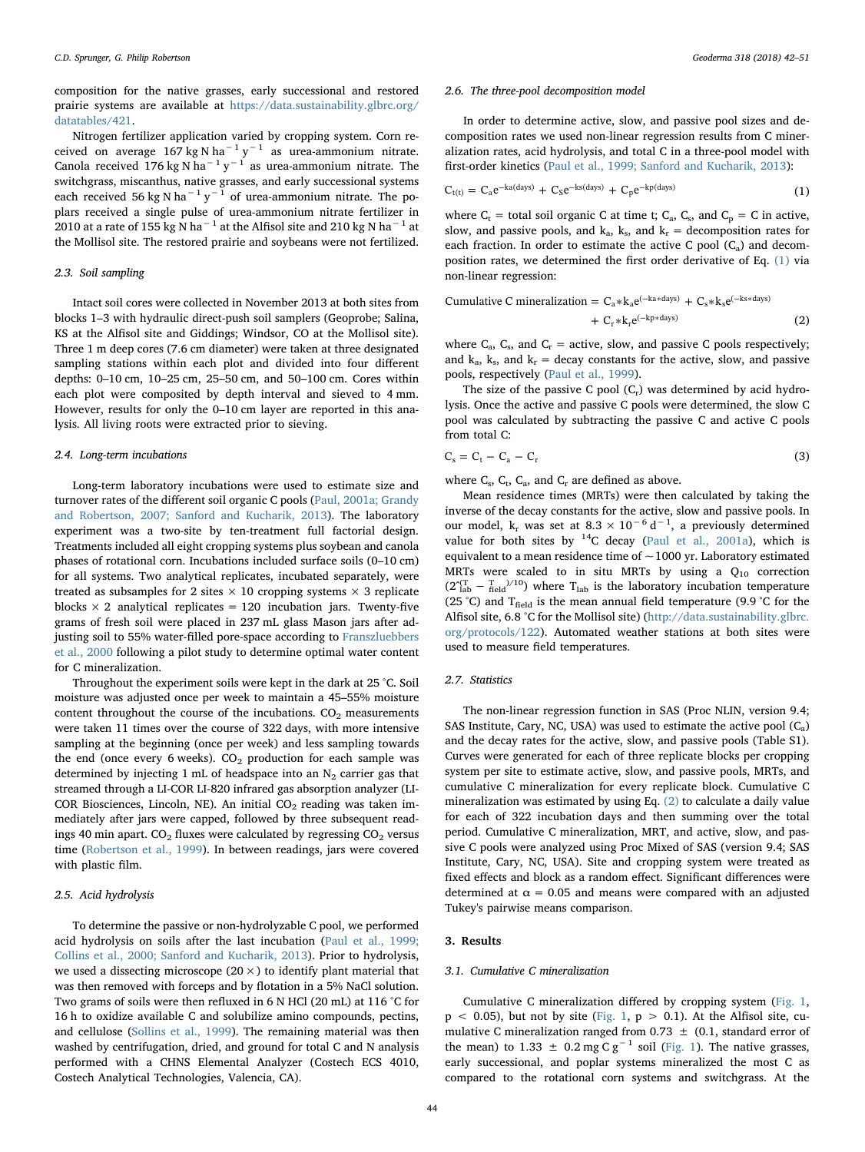composition for the native grasses, early successional and restored prairie systems are available at [https://data.sustainability.glbrc.org/](https://data.sustainability.glbrc.org/datatables/421) [datatables/421.](https://data.sustainability.glbrc.org/datatables/421)

Nitrogen fertilizer application varied by cropping system. Corn received on average 167 kg N ha<sup>-1</sup> y<sup>-1</sup> as urea-ammonium nitrate. Canola received 176 kg N ha<sup>-1</sup> y<sup>-1</sup> as urea-ammonium nitrate. The switchgrass, miscanthus, native grasses, and early successional systems each received 56 kg N ha<sup>-1</sup> y<sup>-1</sup> of urea-ammonium nitrate. The poplars received a single pulse of urea-ammonium nitrate fertilizer in 2010 at a rate of 155 kg N ha<sup>-1</sup> at the Alfisol site and 210 kg N ha<sup>-1</sup> at the Mollisol site. The restored prairie and soybeans were not fertilized.

#### 2.3. Soil sampling

Intact soil cores were collected in November 2013 at both sites from blocks 1–3 with hydraulic direct-push soil samplers (Geoprobe; Salina, KS at the Alfisol site and Giddings; Windsor, CO at the Mollisol site). Three 1 m deep cores (7.6 cm diameter) were taken at three designated sampling stations within each plot and divided into four different depths: 0–10 cm, 10–25 cm, 25–50 cm, and 50–100 cm. Cores within each plot were composited by depth interval and sieved to 4 mm. However, results for only the 0–10 cm layer are reported in this analysis. All living roots were extracted prior to sieving.

#### 2.4. Long-term incubations

Long-term laboratory incubations were used to estimate size and turnover rates of the different soil organic C pools ([Paul, 2001a; Grandy](#page-8-8) [and Robertson, 2007; Sanford and Kucharik, 2013](#page-8-8)). The laboratory experiment was a two-site by ten-treatment full factorial design. Treatments included all eight cropping systems plus soybean and canola phases of rotational corn. Incubations included surface soils (0–10 cm) for all systems. Two analytical replicates, incubated separately, were treated as subsamples for 2 sites  $\times$  10 cropping systems  $\times$  3 replicate blocks  $\times$  2 analytical replicates = 120 incubation jars. Twenty-five grams of fresh soil were placed in 237 mL glass Mason jars after adjusting soil to 55% water-filled pore-space according to [Franszluebbers](#page-8-17) [et al., 2000](#page-8-17) following a pilot study to determine optimal water content for C mineralization.

Throughout the experiment soils were kept in the dark at 25 °C. Soil moisture was adjusted once per week to maintain a 45–55% moisture content throughout the course of the incubations.  $CO<sub>2</sub>$  measurements were taken 11 times over the course of 322 days, with more intensive sampling at the beginning (once per week) and less sampling towards the end (once every 6 weeks).  $CO<sub>2</sub>$  production for each sample was determined by injecting 1 mL of headspace into an  $N_2$  carrier gas that streamed through a LI-COR LI-820 infrared gas absorption analyzer (LI-COR Biosciences, Lincoln, NE). An initial  $CO<sub>2</sub>$  reading was taken immediately after jars were capped, followed by three subsequent readings 40 min apart.  $CO<sub>2</sub>$  fluxes were calculated by regressing  $CO<sub>2</sub>$  versus time [\(Robertson et al., 1999](#page-8-18)). In between readings, jars were covered with plastic film.

## 2.5. Acid hydrolysis

To determine the passive or non-hydrolyzable C pool, we performed acid hydrolysis on soils after the last incubation ([Paul et al., 1999;](#page-8-14) [Collins et al., 2000; Sanford and Kucharik, 2013\)](#page-8-14). Prior to hydrolysis, we used a dissecting microscope  $(20 \times)$  to identify plant material that was then removed with forceps and by flotation in a 5% NaCl solution. Two grams of soils were then refluxed in 6 N HCl (20 mL) at 116 °C for 16 h to oxidize available C and solubilize amino compounds, pectins, and cellulose ([Sollins et al., 1999](#page-9-5)). The remaining material was then washed by centrifugation, dried, and ground for total C and N analysis performed with a CHNS Elemental Analyzer (Costech ECS 4010, Costech Analytical Technologies, Valencia, CA).

#### 2.6. The three-pool decomposition model

In order to determine active, slow, and passive pool sizes and decomposition rates we used non-linear regression results from C mineralization rates, acid hydrolysis, and total C in a three-pool model with first-order kinetics ([Paul et al., 1999; Sanford and Kucharik, 2013\)](#page-8-14):

<span id="page-2-0"></span>
$$
C_{t(t)} = C_a e^{-ka(days)} + C_S e^{-ks(days)} + C_p e^{-kp(days)} \tag{1}
$$

where  $C_t$  = total soil organic C at time t;  $C_a$ ,  $C_s$ , and  $C_p$  = C in active, slow, and passive pools, and  $k_a$ ,  $k_s$ , and  $k_r$  = decomposition rates for each fraction. In order to estimate the active C pool  $(C_a)$  and decomposition rates, we determined the first order derivative of Eq. [\(1\)](#page-2-0) via non-linear regression:

<span id="page-2-1"></span>Cumulative C mineralization =  $C_a * k_a e^{(-ka * days)} + C_s * k_s e^{(-ks * days)}$ +  $C_r * k_r e^{(-kp*days)}$  (2)

where  $C_a$ ,  $C_s$ , and  $C_r$  = active, slow, and passive C pools respectively; and  $k_a$ ,  $k_s$ , and  $k_r$  = decay constants for the active, slow, and passive pools, respectively ([Paul et al., 1999\)](#page-8-14).

The size of the passive C pool  $(C_r)$  was determined by acid hydrolysis. Once the active and passive C pools were determined, the slow C pool was calculated by subtracting the passive C and active C pools from total C:

$$
C_s = C_t - C_a - C_r \tag{3}
$$

where  $C_s$ ,  $C_t$ ,  $C_a$ , and  $C_r$  are defined as above.

Mean residence times (MRTs) were then calculated by taking the inverse of the decay constants for the active, slow and passive pools. In our model,  $k_r$  was set at 8.3 × 10<sup>-6</sup> d<sup>-1</sup>, a previously determined value for both sites by <sup>14</sup>C decay ([Paul et al., 2001a](#page-8-8)), which is equivalent to a mean residence time of  $\sim$  1000 yr. Laboratory estimated MRTs were scaled to in situ MRTs by using a  $Q_{10}$  correction  $(2\gamma_{lab}^{T} - \frac{T}{\text{field}})^{10}$ ) where T<sub>lab</sub> is the laboratory incubation temperature (25 °C) and T<sub>field</sub> is the mean annual field temperature (9.9 °C for the Alfisol site, 6.8 °C for the Mollisol site) [\(http://data.sustainability.glbrc.](http://data.sustainability.glbrc.org/protocols/122) [org/protocols/122](http://data.sustainability.glbrc.org/protocols/122)). Automated weather stations at both sites were used to measure field temperatures.

## 2.7. Statistics

The non-linear regression function in SAS (Proc NLIN, version 9.4; SAS Institute, Cary, NC, USA) was used to estimate the active pool  $(C_a)$ and the decay rates for the active, slow, and passive pools (Table S1). Curves were generated for each of three replicate blocks per cropping system per site to estimate active, slow, and passive pools, MRTs, and cumulative C mineralization for every replicate block. Cumulative C mineralization was estimated by using Eq. [\(2\)](#page-2-1) to calculate a daily value for each of 322 incubation days and then summing over the total period. Cumulative C mineralization, MRT, and active, slow, and passive C pools were analyzed using Proc Mixed of SAS (version 9.4; SAS Institute, Cary, NC, USA). Site and cropping system were treated as fixed effects and block as a random effect. Significant differences were determined at  $\alpha = 0.05$  and means were compared with an adjusted Tukey's pairwise means comparison.

#### 3. Results

### 3.1. Cumulative C mineralization

Cumulative C mineralization differed by cropping system [\(Fig. 1](#page-3-0),  $p$  < 0.05), but not by site [\(Fig. 1](#page-3-0),  $p$  > 0.1). At the Alfisol site, cumulative C mineralization ranged from 0.73  $\pm$  (0.1, standard error of the mean) to 1.33  $\pm$  0.2 mg C g<sup>-1</sup> soil [\(Fig. 1\)](#page-3-0). The native grasses, early successional, and poplar systems mineralized the most C as compared to the rotational corn systems and switchgrass. At the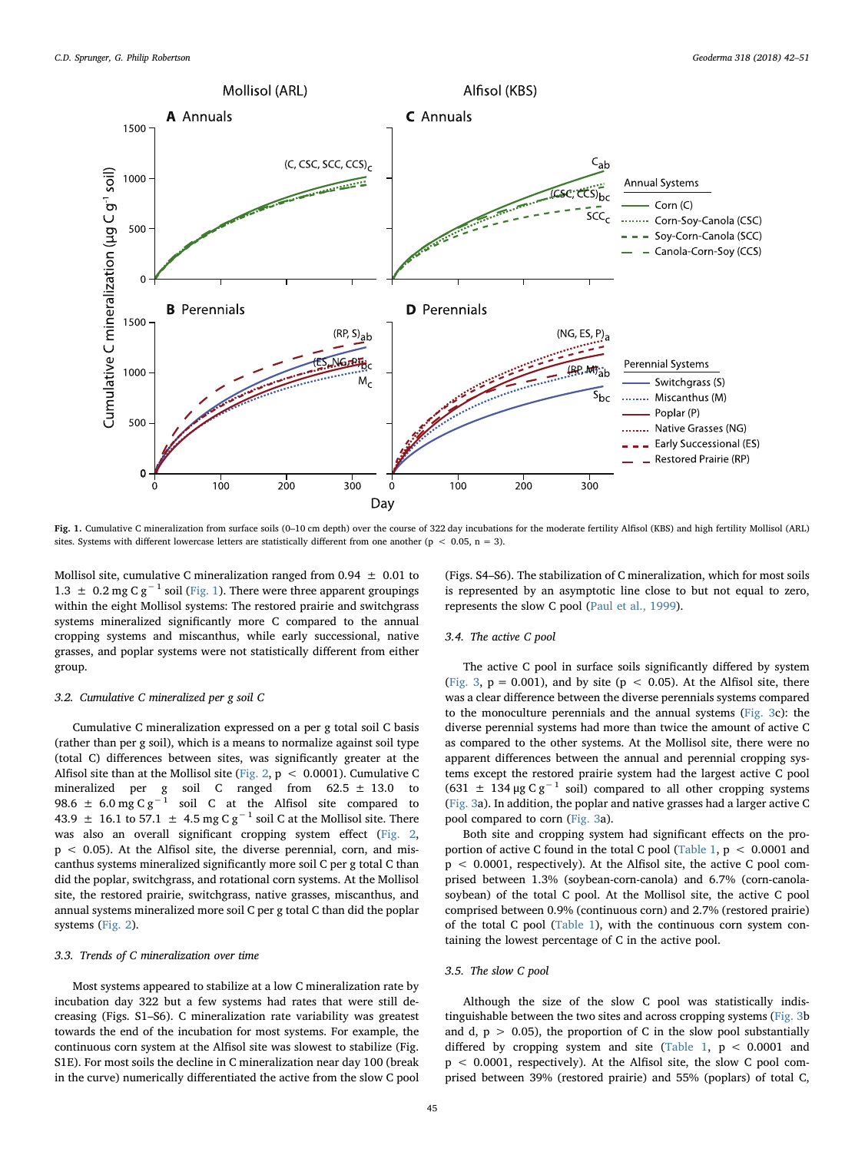<span id="page-3-0"></span>

Fig. 1. Cumulative C mineralization from surface soils (0–10 cm depth) over the course of 322 day incubations for the moderate fertility Alfisol (KBS) and high fertility Mollisol (ARL) sites. Systems with different lowercase letters are statistically different from one another ( $p < 0.05$ ,  $n = 3$ ).

Mollisol site, cumulative C mineralization ranged from  $0.94 \pm 0.01$  to 1.3  $\pm$  0.2 mg C g<sup>-1</sup> soil [\(Fig. 1\)](#page-3-0). There were three apparent groupings within the eight Mollisol systems: The restored prairie and switchgrass systems mineralized significantly more C compared to the annual cropping systems and miscanthus, while early successional, native grasses, and poplar systems were not statistically different from either group.

#### 3.2. Cumulative C mineralized per g soil C

Cumulative C mineralization expressed on a per g total soil C basis (rather than per g soil), which is a means to normalize against soil type (total C) differences between sites, was significantly greater at the Alfisol site than at the Mollisol site [\(Fig. 2,](#page-4-0)  $p < 0.0001$ ). Cumulative C mineralized per g soil C ranged from 62.5 ± 13.0 to 98.6  $\pm$  6.0 mg C g<sup>-1</sup> soil C at the Alfisol site compared to 43.9  $\pm$  16.1 to 57.1  $\pm$  4.5 mg C g<sup>-1</sup> soil C at the Mollisol site. There was also an overall significant cropping system effect ([Fig. 2](#page-4-0),  $p$  < 0.05). At the Alfisol site, the diverse perennial, corn, and miscanthus systems mineralized significantly more soil C per g total C than did the poplar, switchgrass, and rotational corn systems. At the Mollisol site, the restored prairie, switchgrass, native grasses, miscanthus, and annual systems mineralized more soil C per g total C than did the poplar systems [\(Fig. 2\)](#page-4-0).

## 3.3. Trends of C mineralization over time

Most systems appeared to stabilize at a low C mineralization rate by incubation day 322 but a few systems had rates that were still decreasing (Figs. S1–S6). C mineralization rate variability was greatest towards the end of the incubation for most systems. For example, the continuous corn system at the Alfisol site was slowest to stabilize (Fig. S1E). For most soils the decline in C mineralization near day 100 (break in the curve) numerically differentiated the active from the slow C pool

(Figs. S4–S6). The stabilization of C mineralization, which for most soils is represented by an asymptotic line close to but not equal to zero, represents the slow C pool ([Paul et al., 1999\)](#page-8-14).

## 3.4. The active C pool

The active C pool in surface soils significantly differed by system ([Fig. 3](#page-5-0),  $p = 0.001$ ), and by site ( $p < 0.05$ ). At the Alfisol site, there was a clear difference between the diverse perennials systems compared to the monoculture perennials and the annual systems ([Fig. 3c](#page-5-0)): the diverse perennial systems had more than twice the amount of active C as compared to the other systems. At the Mollisol site, there were no apparent differences between the annual and perennial cropping systems except the restored prairie system had the largest active C pool (631  $\pm$  134 μg C g<sup>-1</sup> soil) compared to all other cropping systems ([Fig. 3](#page-5-0)a). In addition, the poplar and native grasses had a larger active C pool compared to corn [\(Fig. 3a](#page-5-0)).

Both site and cropping system had significant effects on the pro-portion of active C found in the total C pool [\(Table 1](#page-5-1),  $p < 0.0001$  and  $p \le 0.0001$ , respectively). At the Alfisol site, the active C pool comprised between 1.3% (soybean-corn-canola) and 6.7% (corn-canolasoybean) of the total C pool. At the Mollisol site, the active C pool comprised between 0.9% (continuous corn) and 2.7% (restored prairie) of the total C pool [\(Table 1](#page-5-1)), with the continuous corn system containing the lowest percentage of C in the active pool.

## 3.5. The slow C pool

Although the size of the slow C pool was statistically indistinguishable between the two sites and across cropping systems ([Fig. 3](#page-5-0)b and d,  $p > 0.05$ ), the proportion of C in the slow pool substantially differed by cropping system and site [\(Table 1,](#page-5-1) p < 0.0001 and p < 0.0001, respectively). At the Alfisol site, the slow C pool comprised between 39% (restored prairie) and 55% (poplars) of total C,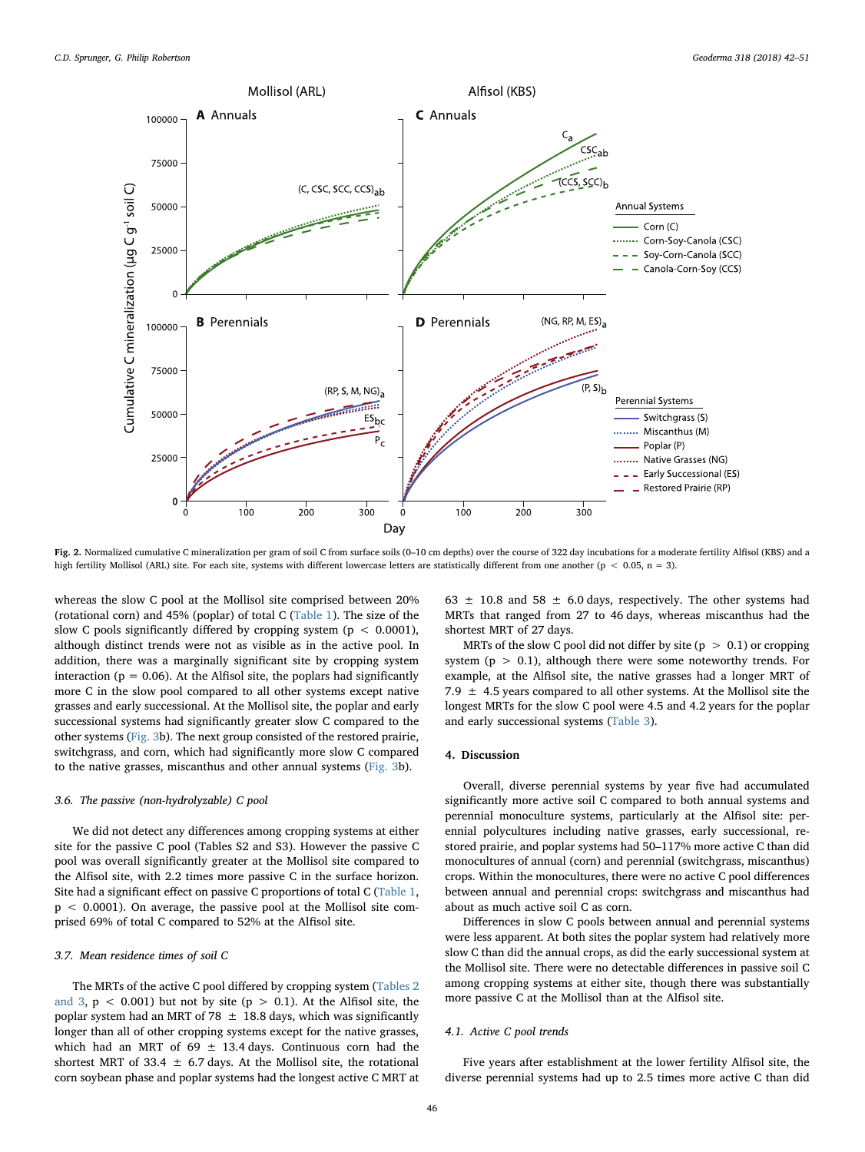<span id="page-4-0"></span>

Fig. 2. Normalized cumulative C mineralization per gram of soil C from surface soils (0-10 cm depths) over the course of 322 day incubations for a moderate fertility Alfisol (KBS) and a high fertility Mollisol (ARL) site. For each site, systems with different lowercase letters are statistically different from one another ( $p < 0.05$ ,  $n = 3$ ).

whereas the slow C pool at the Mollisol site comprised between 20% (rotational corn) and 45% (poplar) of total C ([Table 1\)](#page-5-1). The size of the slow C pools significantly differed by cropping system ( $p < 0.0001$ ), although distinct trends were not as visible as in the active pool. In addition, there was a marginally significant site by cropping system interaction ( $p = 0.06$ ). At the Alfisol site, the poplars had significantly more C in the slow pool compared to all other systems except native grasses and early successional. At the Mollisol site, the poplar and early successional systems had significantly greater slow C compared to the other systems [\(Fig. 3b](#page-5-0)). The next group consisted of the restored prairie, switchgrass, and corn, which had significantly more slow C compared to the native grasses, miscanthus and other annual systems [\(Fig. 3](#page-5-0)b).

#### 3.6. The passive (non-hydrolyzable) C pool

We did not detect any differences among cropping systems at either site for the passive C pool (Tables S2 and S3). However the passive C pool was overall significantly greater at the Mollisol site compared to the Alfisol site, with 2.2 times more passive C in the surface horizon. Site had a significant effect on passive C proportions of total C [\(Table 1](#page-5-1),  $p < 0.0001$ ). On average, the passive pool at the Mollisol site comprised 69% of total C compared to 52% at the Alfisol site.

## 3.7. Mean residence times of soil C

The MRTs of the active C pool differed by cropping system [\(Tables 2](#page-6-0) [and 3](#page-6-0),  $p < 0.001$ ) but not by site ( $p > 0.1$ ). At the Alfisol site, the poplar system had an MRT of 78  $\pm$  18.8 days, which was significantly longer than all of other cropping systems except for the native grasses, which had an MRT of 69  $\pm$  13.4 days. Continuous corn had the shortest MRT of 33.4  $\pm$  6.7 days. At the Mollisol site, the rotational corn soybean phase and poplar systems had the longest active C MRT at 63  $\pm$  10.8 and 58  $\pm$  6.0 days, respectively. The other systems had MRTs that ranged from 27 to 46 days, whereas miscanthus had the shortest MRT of 27 days.

MRTs of the slow C pool did not differ by site  $(p > 0.1)$  or cropping system ( $p > 0.1$ ), although there were some noteworthy trends. For example, at the Alfisol site, the native grasses had a longer MRT of 7.9  $\pm$  4.5 years compared to all other systems. At the Mollisol site the longest MRTs for the slow C pool were 4.5 and 4.2 years for the poplar and early successional systems [\(Table 3\)](#page-6-1).

## 4. Discussion

Overall, diverse perennial systems by year five had accumulated significantly more active soil C compared to both annual systems and perennial monoculture systems, particularly at the Alfisol site: perennial polycultures including native grasses, early successional, restored prairie, and poplar systems had 50–117% more active C than did monocultures of annual (corn) and perennial (switchgrass, miscanthus) crops. Within the monocultures, there were no active C pool differences between annual and perennial crops: switchgrass and miscanthus had about as much active soil C as corn.

Differences in slow C pools between annual and perennial systems were less apparent. At both sites the poplar system had relatively more slow C than did the annual crops, as did the early successional system at the Mollisol site. There were no detectable differences in passive soil C among cropping systems at either site, though there was substantially more passive C at the Mollisol than at the Alfisol site.

#### 4.1. Active C pool trends

Five years after establishment at the lower fertility Alfisol site, the diverse perennial systems had up to 2.5 times more active C than did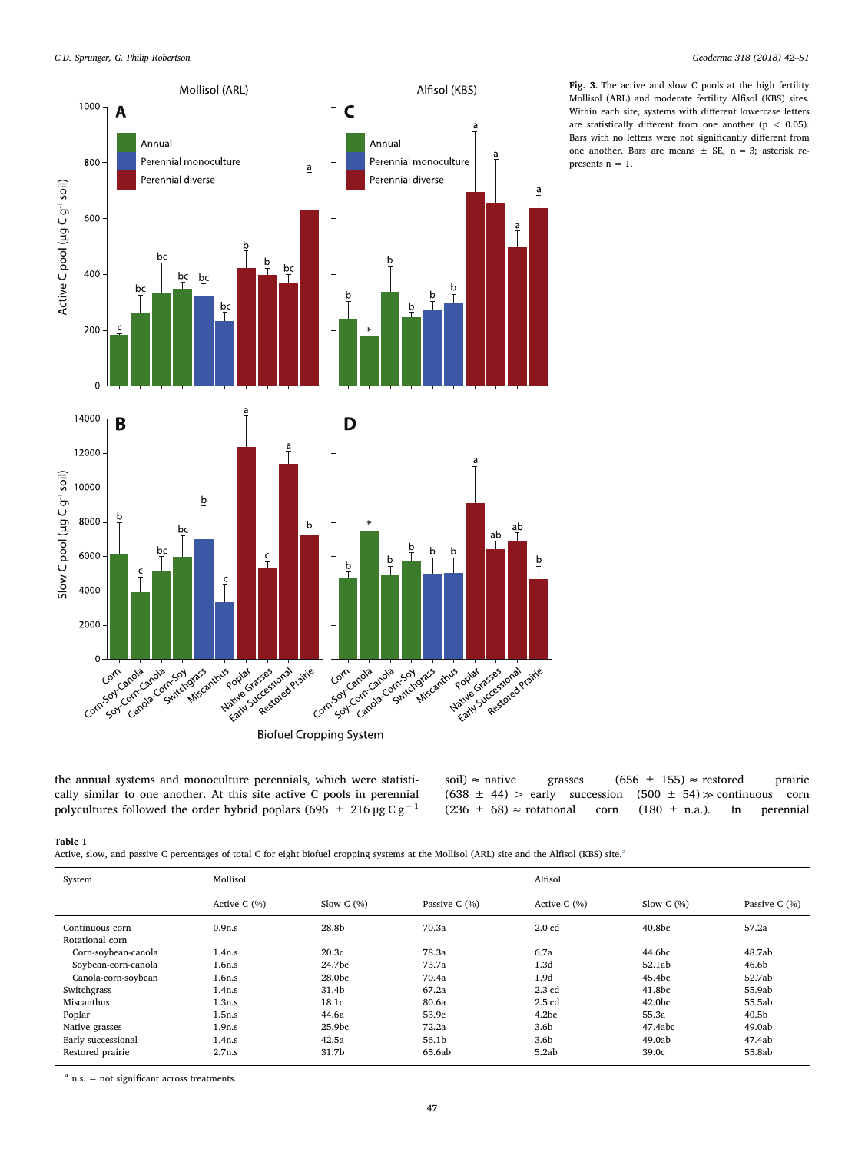<span id="page-5-0"></span>

Fig. 3. The active and slow C pools at the high fertility Mollisol (ARL) and moderate fertility Alfisol (KBS) sites. Within each site, systems with different lowercase letters are statistically different from one another ( $p < 0.05$ ). Bars with no letters were not significantly different from one another. Bars are means  $\pm$  SE, n = 3; asterisk represents  $n = 1$ .

soil) ≈ native grasses (656 ± 155) ≈ restored prairie  $(638 \pm 44)$  > early succession  $(500 \pm 54)$   $\gg$  continuous corn  $(236 \pm 68) \approx$  rotational corn  $(180 \pm$  n.a.). In perennial

## <span id="page-5-1"></span>Table 1

Active, slow, [a](#page-5-2)nd passive C percentages of total C for eight biofuel cropping systems at the Mollisol (ARL) site and the Alfisol (KBS) site.<sup>5</sup>

the annual systems and monoculture perennials, which were statistically similar to one another. At this site active C pools in perennial polycultures followed the order hybrid poplars (696  $\pm$  216 μg C g<sup>-1</sup>

| System              | Mollisol     |             |               | Alfisol           |                    |                   |
|---------------------|--------------|-------------|---------------|-------------------|--------------------|-------------------|
|                     | Active C (%) | Slow $C(%)$ | Passive C (%) | Active $C(% )$    | Slow $C(%)$        | Passive C (%)     |
| Continuous corn     | 0.9n.s       | 28.8b       | 70.3a         | 2.0 <sub>cd</sub> | 40.8bc             | 57.2a             |
| Rotational corn     |              |             |               |                   |                    |                   |
| Corn-soybean-canola | 1.4n.s       | 20.3c       | 78.3a         | 6.7a              | 44.6bc             | 48.7ab            |
| Soybean-corn-canola | 1.6n.s       | 24.7bc      | 73.7a         | 1.3d              | 52.1ab             | 46.6b             |
| Canola-corn-soybean | 1.6n.s       | 28.0bc      | 70.4a         | 1.9d              | 45.4bc             | 52.7ab            |
| Switchgrass         | 1.4n.s       | 31.4b       | 67.2a         | 2.3 cd            | 41.8bc             | 55.9ab            |
| Miscanthus          | 1.3n.s       | 18.1c       | 80.6a         | $2.5$ cd          | 42.0 <sub>bc</sub> | 55.5ab            |
| Poplar              | 1.5n.s       | 44.6a       | 53.9c         | 4.2bc             | 55.3a              | 40.5 <sub>b</sub> |
| Native grasses      | 1.9n.s       | 25.9bc      | 72.2a         | 3.6 <sub>b</sub>  | 47.4abc            | 49.0ab            |
| Early successional  | 1.4n.s       | 42.5a       | 56.1b         | 3.6 <sub>b</sub>  | 49.0ab             | 47.4ab            |
| Restored prairie    | 2.7n.s       | 31.7b       | 65.6ab        | 5.2ab             | 39.0c              | 55.8ab            |

<span id="page-5-2"></span><sup>a</sup> n.s. = not significant across treatments.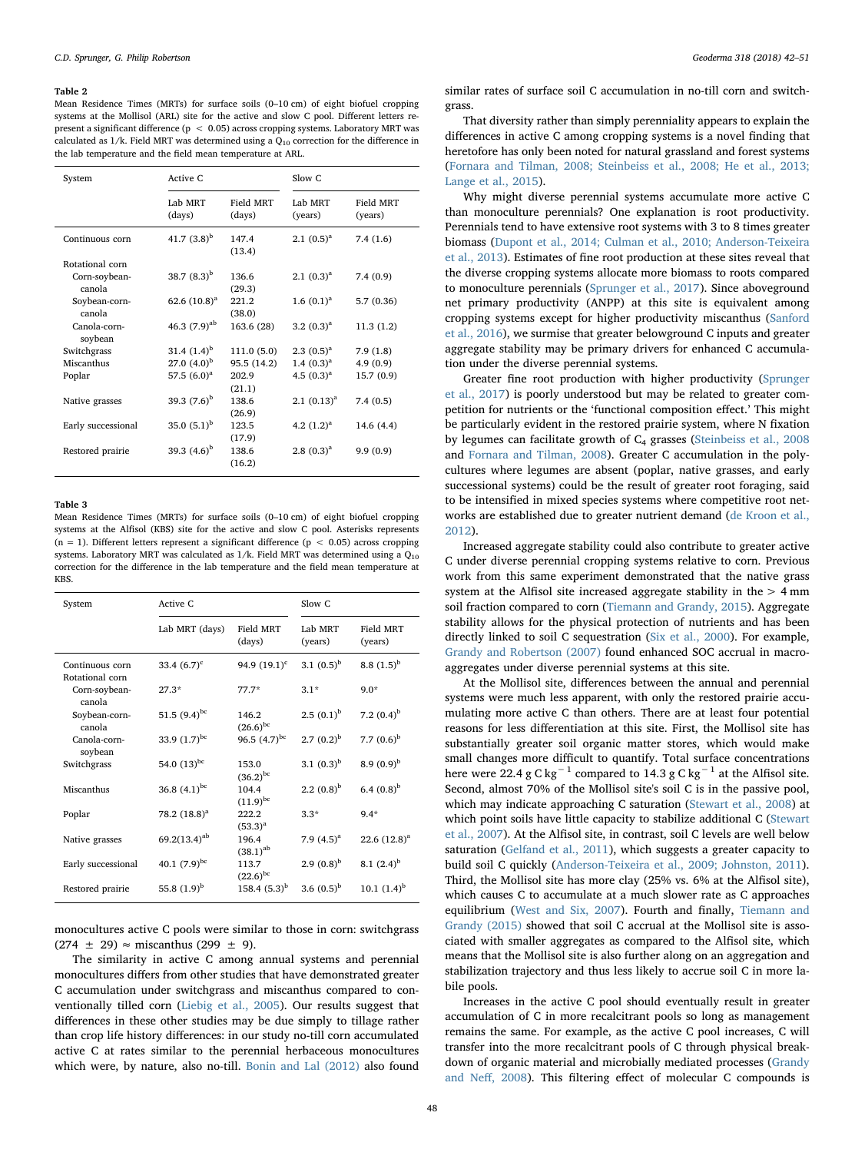#### <span id="page-6-0"></span>Table 2

Mean Residence Times (MRTs) for surface soils (0–10 cm) of eight biofuel cropping systems at the Mollisol (ARL) site for the active and slow C pool. Different letters represent a significant difference ( $p < 0.05$ ) across cropping systems. Laboratory MRT was calculated as  $1/k$ . Field MRT was determined using a  $Q_{10}$  correction for the difference in the lab temperature and the field mean temperature at ARL.

| System                  | Active C          |                     | Slow C             |                      |  |
|-------------------------|-------------------|---------------------|--------------------|----------------------|--|
|                         | Lab MRT<br>(days) | Field MRT<br>(days) | Lab MRT<br>(years) | Field MRT<br>(years) |  |
| Continuous corn         | 41.7 $(3.8)^{b}$  | 147.4<br>(13.4)     | $2.1~(0.5)^a$      | 7.4(1.6)             |  |
| Rotational corn         |                   |                     |                    |                      |  |
| Corn-soybean-<br>canola | 38.7 $(8.3)^{b}$  | 136.6<br>(29.3)     | $2.1~(0.3)^a$      | 7.4(0.9)             |  |
| Soybean-corn-<br>canola | 62.6 $(10.8)^a$   | 221.2<br>(38.0)     | $1.6(0.1)^a$       | 5.7(0.36)            |  |
| Canola-corn-<br>soybean | 46.3 $(7.9)^{ab}$ | 163.6 (28)          | $3.2(0.3)^a$       | 11.3(1.2)            |  |
| Switchgrass             | 31.4 $(1.4)^b$    | 111.0(5.0)          | $2.3(0.5)^{a}$     | 7.9(1.8)             |  |
| Miscanthus              | $27.0(4.0)^{b}$   | 95.5 (14.2)         | $1.4(0.3)^a$       | 4.9(0.9)             |  |
| Poplar                  | 57.5 $(6.0)^a$    | 202.9<br>(21.1)     | 4.5 $(0.3)^a$      | 15.7 (0.9)           |  |
| Native grasses          | 39.3 $(7.6)^b$    | 138.6<br>(26.9)     | $2.1~(0.13)^{a}$   | 7.4(0.5)             |  |
| Early successional      | 35.0 $(5.1)^{b}$  | 123.5<br>(17.9)     | 4.2 $(1.2)^a$      | 14.6 (4.4)           |  |
| Restored prairie        | 39.3 $(4.6)^b$    | 138.6<br>(16.2)     | $2.8(0.3)^a$       | 9.9(0.9)             |  |

#### <span id="page-6-1"></span>Table 3

Mean Residence Times (MRTs) for surface soils (0–10 cm) of eight biofuel cropping systems at the Alfisol (KBS) site for the active and slow C pool. Asterisks represents  $(n = 1)$ . Different letters represent a significant difference  $(p < 0.05)$  across cropping systems. Laboratory MRT was calculated as 1/k. Field MRT was determined using a  $\mathrm{Q}_{10}$ correction for the difference in the lab temperature and the field mean temperature at **KBS** 

| System                             | Active C                   |                            | Slow C             |                             |
|------------------------------------|----------------------------|----------------------------|--------------------|-----------------------------|
|                                    | Lab MRT (days)             | <b>Field MRT</b><br>(days) | Lab MRT<br>(years) | <b>Field MRT</b><br>(years) |
| Continuous corn<br>Rotational corn | 33.4 $(6.7)^c$             | 94.9 $(19.1)^c$            | 3.1 $(0.5)^{b}$    | 8.8 $(1.5)^{b}$             |
| Corn-soybean-<br>canola            | $27.3*$                    | $77.7*$                    | $3.1*$             | $9.0*$                      |
| Soybean-corn-<br>canola            | 51.5 $(9.4)$ <sup>bc</sup> | 146.2<br>$(26.6)^{bc}$     | $2.5(0.1)^{b}$     | 7.2 $(0.4)^{b}$             |
| Canola-corn-<br>soybean            | 33.9 $(1.7)^{bc}$          | 96.5 $(4.7)^{bc}$          | $2.7 (0.2)^{b}$    | 7.7 $(0.6)^b$               |
| Switchgrass                        | 54.0 $(13)^{bc}$           | 153.0<br>$(36.2)^{bc}$     | 3.1 $(0.3)^{b}$    | $8.9(0.9)^{b}$              |
| Miscanthus                         | 36.8 $(4.1)^{bc}$          | 104.4<br>$(11.9)^{bc}$     | $2.2(0.8)^{b}$     | 6.4 $(0.8)^{b}$             |
| Poplar                             | 78.2 $(18.8)^a$            | 222.2<br>$(53.3)^{a}$      | $3.3*$             | $9.4*$                      |
| Native grasses                     | $69.2(13.4)^{ab}$          | 196.4<br>$(38.1)^{ab}$     | 7.9 $(4.5)^a$      | $22.6(12.8)^a$              |
| Early successional                 | 40.1 $(7.9)^{bc}$          | 113.7<br>$(22.6)^{bc}$     | $2.9(0.8)^{b}$     | $8.1~(2.4)^{b}$             |
| Restored prairie                   | 55.8 $(1.9)^b$             | $158.4(5.3)^{b}$           | 3.6 $(0.5)^b$      | $10.1~(1.4)^{b}$            |

monocultures active C pools were similar to those in corn: switchgrass  $(274 \pm 29) \approx$  miscanthus (299 ± 9).

The similarity in active C among annual systems and perennial monocultures differs from other studies that have demonstrated greater C accumulation under switchgrass and miscanthus compared to conventionally tilled corn ([Liebig et al., 2005\)](#page-8-19). Our results suggest that differences in these other studies may be due simply to tillage rather than crop life history differences: in our study no-till corn accumulated active C at rates similar to the perennial herbaceous monocultures which were, by nature, also no-till. [Bonin and Lal \(2012\)](#page-8-20) also found similar rates of surface soil C accumulation in no-till corn and switchgrass.

That diversity rather than simply perenniality appears to explain the differences in active C among cropping systems is a novel finding that heretofore has only been noted for natural grassland and forest systems ([Fornara and Tilman, 2008; Steinbeiss et al., 2008; He et al., 2013;](#page-8-21) [Lange et al., 2015\)](#page-8-21).

Why might diverse perennial systems accumulate more active C than monoculture perennials? One explanation is root productivity. Perennials tend to have extensive root systems with 3 to 8 times greater biomass ([Dupont et al., 2014; Culman et al., 2010; Anderson-Teixeira](#page-8-4) [et al., 2013\)](#page-8-4). Estimates of fine root production at these sites reveal that the diverse cropping systems allocate more biomass to roots compared to monoculture perennials [\(Sprunger et al., 2017](#page-9-6)). Since aboveground net primary productivity (ANPP) at this site is equivalent among cropping systems except for higher productivity miscanthus [\(Sanford](#page-9-4) [et al., 2016](#page-9-4)), we surmise that greater belowground C inputs and greater aggregate stability may be primary drivers for enhanced C accumulation under the diverse perennial systems.

Greater fine root production with higher productivity ([Sprunger](#page-9-6) [et al., 2017\)](#page-9-6) is poorly understood but may be related to greater competition for nutrients or the 'functional composition effect.' This might be particularly evident in the restored prairie system, where N fixation by legumes can facilitate growth of C<sub>4</sub> grasses ([Steinbeiss et al., 2008](#page-9-2) and [Fornara and Tilman, 2008](#page-8-21)). Greater C accumulation in the polycultures where legumes are absent (poplar, native grasses, and early successional systems) could be the result of greater root foraging, said to be intensified in mixed species systems where competitive root networks are established due to greater nutrient demand ([de Kroon et al.,](#page-8-22) [2012\)](#page-8-22).

Increased aggregate stability could also contribute to greater active C under diverse perennial cropping systems relative to corn. Previous work from this same experiment demonstrated that the native grass system at the Alfisol site increased aggregate stability in the > 4 mm soil fraction compared to corn ([Tiemann and Grandy, 2015\)](#page-9-7). Aggregate stability allows for the physical protection of nutrients and has been directly linked to soil C sequestration ([Six et al., 2000\)](#page-9-8). For example, [Grandy and Robertson \(2007\)](#page-8-23) found enhanced SOC accrual in macroaggregates under diverse perennial systems at this site.

At the Mollisol site, differences between the annual and perennial systems were much less apparent, with only the restored prairie accumulating more active C than others. There are at least four potential reasons for less differentiation at this site. First, the Mollisol site has substantially greater soil organic matter stores, which would make small changes more difficult to quantify. Total surface concentrations here were 22.4 g C kg<sup>-1</sup> compared to 14.3 g C kg<sup>-1</sup> at the Alfisol site. Second, almost 70% of the Mollisol site's soil C is in the passive pool, which may indicate approaching C saturation ([Stewart et al., 2008](#page-9-9)) at which point soils have little capacity to stabilize additional C ([Stewart](#page-9-10) [et al., 2007\)](#page-9-10). At the Alfisol site, in contrast, soil C levels are well below saturation [\(Gelfand et al., 2011](#page-8-24)), which suggests a greater capacity to build soil C quickly ([Anderson-Teixeira et al., 2009; Johnston, 2011](#page-8-25)). Third, the Mollisol site has more clay (25% vs. 6% at the Alfisol site), which causes C to accumulate at a much slower rate as C approaches equilibrium ([West and Six, 2007\)](#page-9-11). Fourth and finally, [Tiemann and](#page-9-7) [Grandy \(2015\)](#page-9-7) showed that soil C accrual at the Mollisol site is associated with smaller aggregates as compared to the Alfisol site, which means that the Mollisol site is also further along on an aggregation and stabilization trajectory and thus less likely to accrue soil C in more labile pools.

Increases in the active C pool should eventually result in greater accumulation of C in more recalcitrant pools so long as management remains the same. For example, as the active C pool increases, C will transfer into the more recalcitrant pools of C through physical breakdown of organic material and microbially mediated processes ([Grandy](#page-8-26) [and Ne](#page-8-26)ff, 2008). This filtering effect of molecular C compounds is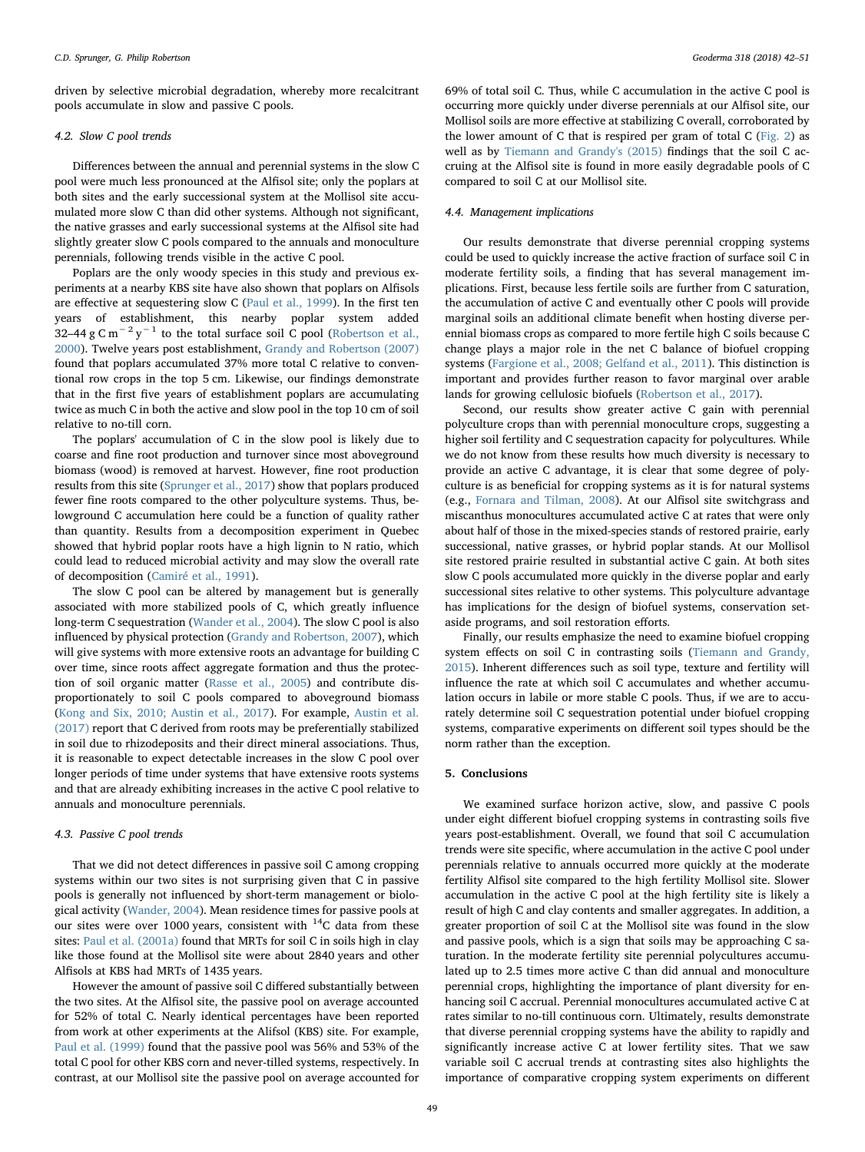driven by selective microbial degradation, whereby more recalcitrant pools accumulate in slow and passive C pools.

## 4.2. Slow C pool trends

Differences between the annual and perennial systems in the slow C pool were much less pronounced at the Alfisol site; only the poplars at both sites and the early successional system at the Mollisol site accumulated more slow C than did other systems. Although not significant, the native grasses and early successional systems at the Alfisol site had slightly greater slow C pools compared to the annuals and monoculture perennials, following trends visible in the active C pool.

Poplars are the only woody species in this study and previous experiments at a nearby KBS site have also shown that poplars on Alfisols are effective at sequestering slow C ([Paul et al., 1999](#page-8-14)). In the first ten years of establishment, this nearby poplar system added 32–44 g C m<sup>-2</sup> y<sup>-1</sup> to the total surface soil C pool [\(Robertson et al.,](#page-8-27) [2000\)](#page-8-27). Twelve years post establishment, [Grandy and Robertson \(2007\)](#page-8-23) found that poplars accumulated 37% more total C relative to conventional row crops in the top 5 cm. Likewise, our findings demonstrate that in the first five years of establishment poplars are accumulating twice as much C in both the active and slow pool in the top 10 cm of soil relative to no-till corn.

The poplars' accumulation of C in the slow pool is likely due to coarse and fine root production and turnover since most aboveground biomass (wood) is removed at harvest. However, fine root production results from this site [\(Sprunger et al., 2017\)](#page-9-6) show that poplars produced fewer fine roots compared to the other polyculture systems. Thus, belowground C accumulation here could be a function of quality rather than quantity. Results from a decomposition experiment in Quebec showed that hybrid poplar roots have a high lignin to N ratio, which could lead to reduced microbial activity and may slow the overall rate of decomposition [\(Camiré et al., 1991](#page-8-28)).

The slow C pool can be altered by management but is generally associated with more stabilized pools of C, which greatly influence long-term C sequestration ([Wander et al., 2004\)](#page-9-12). The slow C pool is also influenced by physical protection [\(Grandy and Robertson, 2007\)](#page-8-23), which will give systems with more extensive roots an advantage for building C over time, since roots affect aggregate formation and thus the protection of soil organic matter ([Rasse et al., 2005](#page-8-29)) and contribute disproportionately to soil C pools compared to aboveground biomass ([Kong and Six, 2010; Austin et al., 2017\)](#page-8-30). For example, [Austin et al.](#page-8-31) [\(2017\)](#page-8-31) report that C derived from roots may be preferentially stabilized in soil due to rhizodeposits and their direct mineral associations. Thus, it is reasonable to expect detectable increases in the slow C pool over longer periods of time under systems that have extensive roots systems and that are already exhibiting increases in the active C pool relative to annuals and monoculture perennials.

#### 4.3. Passive C pool trends

That we did not detect differences in passive soil C among cropping systems within our two sites is not surprising given that C in passive pools is generally not influenced by short-term management or biological activity ([Wander, 2004](#page-9-13)). Mean residence times for passive pools at our sites were over 1000 years, consistent with  $^{14}$ C data from these sites: [Paul et al. \(2001a\)](#page-8-8) found that MRTs for soil C in soils high in clay like those found at the Mollisol site were about 2840 years and other Alfisols at KBS had MRTs of 1435 years.

However the amount of passive soil C differed substantially between the two sites. At the Alfisol site, the passive pool on average accounted for 52% of total C. Nearly identical percentages have been reported from work at other experiments at the Alifsol (KBS) site. For example, [Paul et al. \(1999\)](#page-8-14) found that the passive pool was 56% and 53% of the total C pool for other KBS corn and never-tilled systems, respectively. In contrast, at our Mollisol site the passive pool on average accounted for

69% of total soil C. Thus, while C accumulation in the active C pool is occurring more quickly under diverse perennials at our Alfisol site, our Mollisol soils are more effective at stabilizing C overall, corroborated by the lower amount of C that is respired per gram of total C ([Fig. 2](#page-4-0)) as well as by [Tiemann and Grandy's \(2015\)](#page-9-7) findings that the soil C accruing at the Alfisol site is found in more easily degradable pools of C compared to soil C at our Mollisol site.

## 4.4. Management implications

Our results demonstrate that diverse perennial cropping systems could be used to quickly increase the active fraction of surface soil C in moderate fertility soils, a finding that has several management implications. First, because less fertile soils are further from C saturation, the accumulation of active C and eventually other C pools will provide marginal soils an additional climate benefit when hosting diverse perennial biomass crops as compared to more fertile high C soils because C change plays a major role in the net C balance of biofuel cropping systems [\(Fargione et al., 2008; Gelfand et al., 2011](#page-8-32)). This distinction is important and provides further reason to favor marginal over arable lands for growing cellulosic biofuels [\(Robertson et al., 2017](#page-9-14)).

Second, our results show greater active C gain with perennial polyculture crops than with perennial monoculture crops, suggesting a higher soil fertility and C sequestration capacity for polycultures. While we do not know from these results how much diversity is necessary to provide an active C advantage, it is clear that some degree of polyculture is as beneficial for cropping systems as it is for natural systems (e.g., [Fornara and Tilman, 2008\)](#page-8-21). At our Alfisol site switchgrass and miscanthus monocultures accumulated active C at rates that were only about half of those in the mixed-species stands of restored prairie, early successional, native grasses, or hybrid poplar stands. At our Mollisol site restored prairie resulted in substantial active C gain. At both sites slow C pools accumulated more quickly in the diverse poplar and early successional sites relative to other systems. This polyculture advantage has implications for the design of biofuel systems, conservation setaside programs, and soil restoration efforts.

Finally, our results emphasize the need to examine biofuel cropping system effects on soil C in contrasting soils [\(Tiemann and Grandy,](#page-9-7) [2015\)](#page-9-7). Inherent differences such as soil type, texture and fertility will influence the rate at which soil C accumulates and whether accumulation occurs in labile or more stable C pools. Thus, if we are to accurately determine soil C sequestration potential under biofuel cropping systems, comparative experiments on different soil types should be the norm rather than the exception.

### 5. Conclusions

We examined surface horizon active, slow, and passive C pools under eight different biofuel cropping systems in contrasting soils five years post-establishment. Overall, we found that soil C accumulation trends were site specific, where accumulation in the active C pool under perennials relative to annuals occurred more quickly at the moderate fertility Alfisol site compared to the high fertility Mollisol site. Slower accumulation in the active C pool at the high fertility site is likely a result of high C and clay contents and smaller aggregates. In addition, a greater proportion of soil C at the Mollisol site was found in the slow and passive pools, which is a sign that soils may be approaching C saturation. In the moderate fertility site perennial polycultures accumulated up to 2.5 times more active C than did annual and monoculture perennial crops, highlighting the importance of plant diversity for enhancing soil C accrual. Perennial monocultures accumulated active C at rates similar to no-till continuous corn. Ultimately, results demonstrate that diverse perennial cropping systems have the ability to rapidly and significantly increase active C at lower fertility sites. That we saw variable soil C accrual trends at contrasting sites also highlights the importance of comparative cropping system experiments on different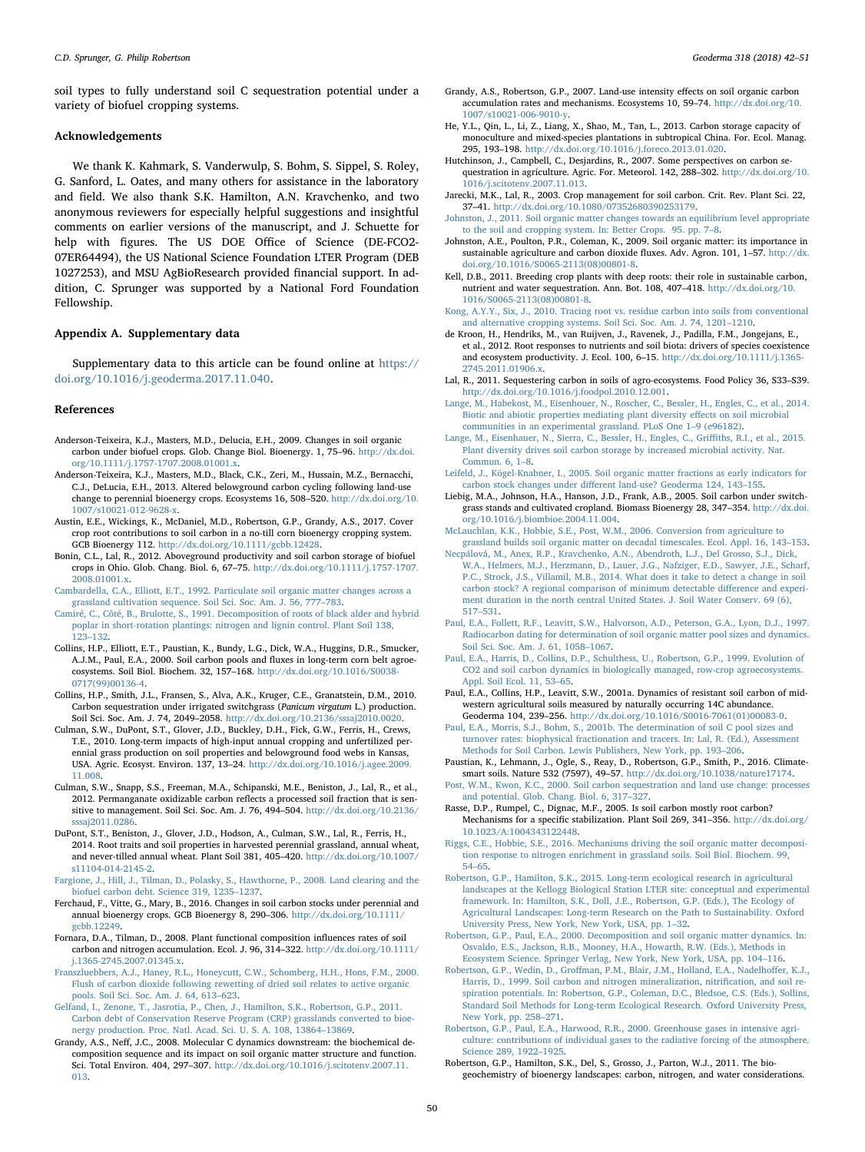soil types to fully understand soil C sequestration potential under a variety of biofuel cropping systems.

## Acknowledgements

We thank K. Kahmark, S. Vanderwulp, S. Bohm, S. Sippel, S. Roley, G. Sanford, L. Oates, and many others for assistance in the laboratory and field. We also thank S.K. Hamilton, A.N. Kravchenko, and two anonymous reviewers for especially helpful suggestions and insightful comments on earlier versions of the manuscript, and J. Schuette for help with figures. The US DOE Office of Science (DE-FCO2- 07ER64494), the US National Science Foundation LTER Program (DEB 1027253), and MSU AgBioResearch provided financial support. In addition, C. Sprunger was supported by a National Ford Foundation Fellowship.

## Appendix A. Supplementary data

Supplementary data to this article can be found online at [https://](https://doi.org/10.1016/j.geoderma.2017.11.040) [doi.org/10.1016/j.geoderma.2017.11.040](https://doi.org/10.1016/j.geoderma.2017.11.040).

#### References

- <span id="page-8-25"></span>Anderson-Teixeira, K.J., Masters, M.D., Delucia, E.H., 2009. Changes in soil organic carbon under biofuel crops. Glob. Change Biol. Bioenergy. 1, 75–96. [http://dx.doi.](http://dx.doi.org/10.1111/j.1757-1707.2008.01001.x) [org/10.1111/j.1757-1707.2008.01001.x.](http://dx.doi.org/10.1111/j.1757-1707.2008.01001.x)
- Anderson-Teixeira, K.J., Masters, M.D., Black, C.K., Zeri, M., Hussain, M.Z., Bernacchi, C.J., DeLucia, E.H., 2013. Altered belowground carbon cycling following land-use change to perennial bioenergy crops. Ecosystems 16, 508–520. [http://dx.doi.org/10.](http://dx.doi.org/10.1007/s10021-012-9628-x) [1007/s10021-012-9628-x](http://dx.doi.org/10.1007/s10021-012-9628-x).
- <span id="page-8-31"></span>Austin, E.E., Wickings, K., McDaniel, M.D., Robertson, G.P., Grandy, A.S., 2017. Cover crop root contributions to soil carbon in a no-till corn bioenergy cropping system. GCB Bioenergy 112. <http://dx.doi.org/10.1111/gcbb.12428>.
- <span id="page-8-20"></span>Bonin, C.L., Lal, R., 2012. Aboveground productivity and soil carbon storage of biofuel crops in Ohio. Glob. Chang. Biol. 6, 67–75. [http://dx.doi.org/10.1111/j.1757-1707.](http://dx.doi.org/10.1111/j.1757-1707.2008.01001.x) [2008.01001.x.](http://dx.doi.org/10.1111/j.1757-1707.2008.01001.x)
- <span id="page-8-11"></span>[Cambardella, C.A., Elliott, E.T., 1992. Particulate soil organic matter changes across a](http://refhub.elsevier.com/S0016-7061(17)30941-2/rf0025) [grassland cultivation sequence. Soil Sci. Soc. Am. J. 56, 777](http://refhub.elsevier.com/S0016-7061(17)30941-2/rf0025)–783.
- <span id="page-8-28"></span>[Camiré, C., Côté, B., Brulotte, S., 1991. Decomposition of roots of black alder and hybrid](http://refhub.elsevier.com/S0016-7061(17)30941-2/rf0030) [poplar in short-rotation plantings: nitrogen and lignin control. Plant Soil 138,](http://refhub.elsevier.com/S0016-7061(17)30941-2/rf0030) 123–[132](http://refhub.elsevier.com/S0016-7061(17)30941-2/rf0030).
- Collins, H.P., Elliott, E.T., Paustian, K., Bundy, L.G., Dick, W.A., Huggins, D.R., Smucker, A.J.M., Paul, E.A., 2000. Soil carbon pools and fluxes in long-term corn belt agroecosystems. Soil Biol. Biochem. 32, 157–168. [http://dx.doi.org/10.1016/S0038-](http://dx.doi.org/10.1016/S0038-0717(99)00136-4) [0717\(99\)00136-4](http://dx.doi.org/10.1016/S0038-0717(99)00136-4).
- <span id="page-8-15"></span>Collins, H.P., Smith, J.L., Fransen, S., Alva, A.K., Kruger, C.E., Granatstein, D.M., 2010. Carbon sequestration under irrigated switchgrass (Panicum virgatum L.) production. Soil Sci. Soc. Am. J. 74, 2049–2058. [http://dx.doi.org/10.2136/sssaj2010.0020.](http://dx.doi.org/10.2136/sssaj2010.0020)
- Culman, S.W., DuPont, S.T., Glover, J.D., Buckley, D.H., Fick, G.W., Ferris, H., Crews, T.E., 2010. Long-term impacts of high-input annual cropping and unfertilized perennial grass production on soil properties and belowground food webs in Kansas, USA. Agric. Ecosyst. Environ. 137, 13–24. [http://dx.doi.org/10.1016/j.agee.2009.](http://dx.doi.org/10.1016/j.agee.2009.11.008) [11.008](http://dx.doi.org/10.1016/j.agee.2009.11.008).
- Culman, S.W., Snapp, S.S., Freeman, M.A., Schipanski, M.E., Beniston, J., Lal, R., et al., 2012. Permanganate oxidizable carbon reflects a processed soil fraction that is sensitive to management. Soil Sci. Soc. Am. J. 76, 494–504. [http://dx.doi.org/10.2136/](http://dx.doi.org/10.2136/sssaj2011.0286) sssai2011.0286
- <span id="page-8-4"></span>DuPont, S.T., Beniston, J., Glover, J.D., Hodson, A., Culman, S.W., Lal, R., Ferris, H., 2014. Root traits and soil properties in harvested perennial grassland, annual wheat, and never-tilled annual wheat. Plant Soil 381, 405–420. [http://dx.doi.org/10.1007/](http://dx.doi.org/10.1007/s11104-014-2145-2) [s11104-014-2145-2.](http://dx.doi.org/10.1007/s11104-014-2145-2)
- <span id="page-8-32"></span>[Fargione, J., Hill, J., Tilman, D., Polasky, S., Hawthorne, P., 2008. Land clearing and the](http://refhub.elsevier.com/S0016-7061(17)30941-2/rf0060) [biofuel carbon debt. Science 319, 1235](http://refhub.elsevier.com/S0016-7061(17)30941-2/rf0060)–1237.
- <span id="page-8-5"></span>Ferchaud, F., Vitte, G., Mary, B., 2016. Changes in soil carbon stocks under perennial and annual bioenergy crops. GCB Bioenergy 8, 290–306. [http://dx.doi.org/10.1111/](http://dx.doi.org/10.1111/gcbb.12249) [gcbb.12249.](http://dx.doi.org/10.1111/gcbb.12249)
- <span id="page-8-21"></span>Fornara, D.A., Tilman, D., 2008. Plant functional composition influences rates of soil carbon and nitrogen accumulation. Ecol. J. 96, 314–322. [http://dx.doi.org/10.1111/](http://dx.doi.org/10.1111/j.1365-2745.2007.01345.x) [j.1365-2745.2007.01345.x.](http://dx.doi.org/10.1111/j.1365-2745.2007.01345.x)
- <span id="page-8-17"></span>Franszluebbers, [A.J., Haney, R.L., Honeycutt, C.W., Schomberg, H.H., Hons, F.M., 2000.](http://refhub.elsevier.com/S0016-7061(17)30941-2/rf0075) [Flush of carbon dioxide following rewetting of dried soil relates to active organic](http://refhub.elsevier.com/S0016-7061(17)30941-2/rf0075) [pools. Soil Sci. Soc. Am. J. 64, 613](http://refhub.elsevier.com/S0016-7061(17)30941-2/rf0075)–623.
- <span id="page-8-24"></span>[Gelfand, I., Zenone, T., Jasrotia, P., Chen, J., Hamilton, S.K., Robertson, G.P., 2011.](http://refhub.elsevier.com/S0016-7061(17)30941-2/rf0080) [Carbon debt of Conservation Reserve Program \(CRP\) grasslands converted to bioe](http://refhub.elsevier.com/S0016-7061(17)30941-2/rf0080)[nergy production. Proc. Natl. Acad. Sci. U. S. A. 108, 13864](http://refhub.elsevier.com/S0016-7061(17)30941-2/rf0080)–13869.
- <span id="page-8-26"></span>Grandy, A.S., Neff, J.C., 2008. Molecular C dynamics downstream: the biochemical decomposition sequence and its impact on soil organic matter structure and function. Sci. Total Environ. 404, 297–307. [http://dx.doi.org/10.1016/j.scitotenv.2007.11.](http://dx.doi.org/10.1016/j.scitotenv.2007.11.013) [013](http://dx.doi.org/10.1016/j.scitotenv.2007.11.013).
- <span id="page-8-23"></span>Grandy, A.S., Robertson, G.P., 2007. Land-use intensity effects on soil organic carbon accumulation rates and mechanisms. Ecosystems 10, 59–74. [http://dx.doi.org/10.](http://dx.doi.org/10.1007/s10021-006-9010-y) [1007/s10021-006-9010-y](http://dx.doi.org/10.1007/s10021-006-9010-y).
- He, Y.L., Qin, L., Li, Z., Liang, X., Shao, M., Tan, L., 2013. Carbon storage capacity of monoculture and mixed-species plantations in subtropical China. For. Ecol. Manag. 295, 193–198. [http://dx.doi.org/10.1016/j.foreco.2013.01.020.](http://dx.doi.org/10.1016/j.foreco.2013.01.020)
- <span id="page-8-2"></span>Hutchinson, J., Campbell, C., Desjardins, R., 2007. Some perspectives on carbon sequestration in agriculture. Agric. For. Meteorol. 142, 288–302. [http://dx.doi.org/10.](http://dx.doi.org/10.1016/j.scitotenv.2007.11.013) [1016/j.scitotenv.2007.11.013.](http://dx.doi.org/10.1016/j.scitotenv.2007.11.013)
- Jarecki, M.K., Lal, R., 2003. Crop management for soil carbon. Crit. Rev. Plant Sci. 22, 37–41. [http://dx.doi.org/10.1080/07352680390253179.](http://dx.doi.org/10.1080/07352680390253179)
- [Johnston, J., 2011. Soil organic matter changes towards an equilibrium level appropriate](http://refhub.elsevier.com/S0016-7061(17)30941-2/rf0110) [to the soil and cropping system. In: Better Crops. 95. pp. 7](http://refhub.elsevier.com/S0016-7061(17)30941-2/rf0110)–8.
- Johnston, A.E., Poulton, P.R., Coleman, K., 2009. Soil organic matter: its importance in sustainable agriculture and carbon dioxide fluxes. Adv. Agron. 101, 1–57. [http://dx.](http://dx.doi.org/10.1016/S0065-2113(08)00801-8) [doi.org/10.1016/S0065-2113\(08\)00801-8.](http://dx.doi.org/10.1016/S0065-2113(08)00801-8)
- Kell, D.B., 2011. Breeding crop plants with deep roots: their role in sustainable carbon, nutrient and water sequestration. Ann. Bot. 108, 407–418. [http://dx.doi.org/10.](http://dx.doi.org/10.1016/S0065-2113(08)00801-8) [1016/S0065-2113\(08\)00801-8.](http://dx.doi.org/10.1016/S0065-2113(08)00801-8)
- <span id="page-8-30"></span>[Kong, A.Y.Y., Six, J., 2010. Tracing root vs. residue carbon into soils from conventional](http://refhub.elsevier.com/S0016-7061(17)30941-2/rf0125) [and alternative cropping systems. Soil Sci. Soc. Am. J. 74, 1201](http://refhub.elsevier.com/S0016-7061(17)30941-2/rf0125)–1210.
- <span id="page-8-22"></span>de Kroon, H., Hendriks, M., van Ruijven, J., Ravenek, J., Padilla, F.M., Jongejans, E., et al., 2012. Root responses to nutrients and soil biota: drivers of species coexistence and ecosystem productivity. J. Ecol. 100, 6–15. [http://dx.doi.org/10.1111/j.1365-](http://dx.doi.org/10.1111/j.1365-2745.2011.01906.x) [2745.2011.01906.x.](http://dx.doi.org/10.1111/j.1365-2745.2011.01906.x)
- <span id="page-8-0"></span>Lal, R., 2011. Sequestering carbon in soils of agro-ecosystems. Food Policy 36, S33–S39. <http://dx.doi.org/10.1016/j.foodpol.2010.12.001>.
- [Lange, M., Habekost, M., Eisenhouer, N., Roscher, C., Bessler, H., Engles, C., et al., 2014.](http://refhub.elsevier.com/S0016-7061(17)30941-2/rf0140) [Biotic and abiotic properties mediating plant diversity e](http://refhub.elsevier.com/S0016-7061(17)30941-2/rf0140)ffects on soil microbial [communities in an experimental grassland. PLoS One 1](http://refhub.elsevier.com/S0016-7061(17)30941-2/rf0140)–9 (e96182).
- [Lange, M., Eisenhauer, N., Sierra, C., Bessler, H., Engles, C., Gri](http://refhub.elsevier.com/S0016-7061(17)30941-2/rf0145)ffiths, R.I., et al., 2015. [Plant diversity drives soil carbon storage by increased microbial activity. Nat.](http://refhub.elsevier.com/S0016-7061(17)30941-2/rf0145) [Commun. 6, 1](http://refhub.elsevier.com/S0016-7061(17)30941-2/rf0145)–8.
- <span id="page-8-9"></span>[Leifeld, J., Kögel-Knabner, I., 2005. Soil organic matter fractions as early indicators for](http://refhub.elsevier.com/S0016-7061(17)30941-2/rf0150) carbon stock changes under diff[erent land-use? Geoderma 124, 143](http://refhub.elsevier.com/S0016-7061(17)30941-2/rf0150)–155.
- <span id="page-8-19"></span>Liebig, M.A., Johnson, H.A., Hanson, J.D., Frank, A.B., 2005. Soil carbon under switchgrass stands and cultivated cropland. Biomass Bioenergy 28, 347–354. [http://dx.doi.](http://dx.doi.org/10.1016/j.biombioe.2004.11.004) [org/10.1016/j.biombioe.2004.11.004](http://dx.doi.org/10.1016/j.biombioe.2004.11.004).
- <span id="page-8-7"></span>[McLauchlan, K.K., Hobbie, S.E., Post, W.M., 2006. Conversion from agriculture to](http://refhub.elsevier.com/S0016-7061(17)30941-2/rf0160) [grassland builds soil organic matter on decadal timescales. Ecol. Appl. 16, 143](http://refhub.elsevier.com/S0016-7061(17)30941-2/rf0160)–153.
- <span id="page-8-10"></span>[Necpálová, M., Anex, R.P., Kravchenko, A.N., Abendroth, L.J., Del Grosso, S.J., Dick,](http://refhub.elsevier.com/S0016-7061(17)30941-2/rf0165) [W.A., Helmers, M.J., Herzmann, D., Lauer, J.G., Nafziger, E.D., Sawyer, J.E., Scharf,](http://refhub.elsevier.com/S0016-7061(17)30941-2/rf0165) [P.C., Strock, J.S., Villamil, M.B., 2014. What does it take to detect a change in soil](http://refhub.elsevier.com/S0016-7061(17)30941-2/rf0165) [carbon stock? A regional comparison of minimum detectable di](http://refhub.elsevier.com/S0016-7061(17)30941-2/rf0165)fference and experi[ment duration in the north central United States. J. Soil Water Conserv. 69 \(6\),](http://refhub.elsevier.com/S0016-7061(17)30941-2/rf0165) 517–[531](http://refhub.elsevier.com/S0016-7061(17)30941-2/rf0165).
- <span id="page-8-13"></span>[Paul, E.A., Follett, R.F., Leavitt, S.W., Halvorson, A.D., Peterson, G.A., Lyon, D.J., 1997.](http://refhub.elsevier.com/S0016-7061(17)30941-2/rf0170) [Radiocarbon dating for determination of soil organic matter pool sizes and dynamics.](http://refhub.elsevier.com/S0016-7061(17)30941-2/rf0170) [Soil Sci. Soc. Am. J. 61, 1058](http://refhub.elsevier.com/S0016-7061(17)30941-2/rf0170)–1067.
- <span id="page-8-14"></span>[Paul, E.A., Harris, D., Collins, D.P., Schulthess, U., Robertson, G.P., 1999. Evolution of](http://refhub.elsevier.com/S0016-7061(17)30941-2/rf0175) [CO2 and soil carbon dynamics in biologically managed, row-crop agroecosystems.](http://refhub.elsevier.com/S0016-7061(17)30941-2/rf0175) [Appl. Soil Ecol. 11, 53](http://refhub.elsevier.com/S0016-7061(17)30941-2/rf0175)–65.
- <span id="page-8-8"></span>Paul, E.A., Collins, H.P., Leavitt, S.W., 2001a. Dynamics of resistant soil carbon of midwestern agricultural soils measured by naturally occurring 14C abundance. Geoderma 104, 239–256. [http://dx.doi.org/10.1016/S0016-7061\(01\)00083-0](http://dx.doi.org/10.1016/S0016-7061(01)00083-0).
- [Paul, E.A., Morris, S.J., Bohm, S., 2001b. The determination of soil C pool sizes and](http://refhub.elsevier.com/S0016-7061(17)30941-2/rf0185) [turnover rates: biophysical fractionation and tracers. In: Lal, R. \(Ed.\), Assessment](http://refhub.elsevier.com/S0016-7061(17)30941-2/rf0185) [Methods for Soil Carbon. Lewis Publishers, New York, pp. 193](http://refhub.elsevier.com/S0016-7061(17)30941-2/rf0185)–206.
- <span id="page-8-1"></span>Paustian, K., Lehmann, J., Ogle, S., Reay, D., Robertson, G.P., Smith, P., 2016. Climatesmart soils. Nature 532 (7597), 49–57. [http://dx.doi.org/10.1038/nature17174.](http://dx.doi.org/10.1038/nature17174)
- <span id="page-8-3"></span>[Post, W.M., Kwon, K.C., 2000. Soil carbon sequestration and land use change: processes](http://refhub.elsevier.com/S0016-7061(17)30941-2/rf0190) [and potential. Glob. Chang. Biol. 6, 317](http://refhub.elsevier.com/S0016-7061(17)30941-2/rf0190)–327.
- <span id="page-8-29"></span>Rasse, D.P., Rumpel, C., Dignac, M.F., 2005. Is soil carbon mostly root carbon? Mechanisms for a specific stabilization. Plant Soil 269, 341–356. [http://dx.doi.org/](http://dx.doi.org/10.1023/A:1004343122448) [10.1023/A:1004343122448.](http://dx.doi.org/10.1023/A:1004343122448)
- [Riggs, C.E., Hobbie, S.E., 2016. Mechanisms driving the soil organic matter decomposi](http://refhub.elsevier.com/S0016-7061(17)30941-2/rf0200)[tion response to nitrogen enrichment in grassland soils. Soil Biol. Biochem. 99,](http://refhub.elsevier.com/S0016-7061(17)30941-2/rf0200) 54–[65](http://refhub.elsevier.com/S0016-7061(17)30941-2/rf0200).
- <span id="page-8-16"></span>[Robertson, G.P., Hamilton, S.K., 2015. Long-term ecological research in agricultural](http://refhub.elsevier.com/S0016-7061(17)30941-2/rf0205) [landscapes at the Kellogg Biological Station LTER site: conceptual and experimental](http://refhub.elsevier.com/S0016-7061(17)30941-2/rf0205) [framework. In: Hamilton, S.K., Doll, J.E., Robertson, G.P. \(Eds.\), The Ecology of](http://refhub.elsevier.com/S0016-7061(17)30941-2/rf0205) [Agricultural Landscapes: Long-term Research on the Path to Sustainability. Oxford](http://refhub.elsevier.com/S0016-7061(17)30941-2/rf0205) [University Press, New York, New York, USA, pp. 1](http://refhub.elsevier.com/S0016-7061(17)30941-2/rf0205)–32.
- <span id="page-8-12"></span>[Robertson, G.P., Paul, E.A., 2000. Decomposition and soil organic matter dynamics. In:](http://refhub.elsevier.com/S0016-7061(17)30941-2/rf0210) [Osvaldo, E.S., Jackson, R.B., Mooney, H.A., Howarth, R.W. \(Eds.\), Methods in](http://refhub.elsevier.com/S0016-7061(17)30941-2/rf0210) [Ecosystem Science. Springer Verlag, New York, New York, USA, pp. 104](http://refhub.elsevier.com/S0016-7061(17)30941-2/rf0210)–116.
- <span id="page-8-18"></span>Robertson, G.P., Wedin, D., Groffman, [P.M., Blair, J.M., Holland, E.A., Nadelho](http://refhub.elsevier.com/S0016-7061(17)30941-2/rf0215)ffer, K.J., [Harris, D., 1999. Soil carbon and nitrogen mineralization, nitri](http://refhub.elsevier.com/S0016-7061(17)30941-2/rf0215)fication, and soil re[spiration potentials. In: Robertson, G.P., Coleman, D.C., Bledsoe, C.S. \(Eds.\), Sollins,](http://refhub.elsevier.com/S0016-7061(17)30941-2/rf0215) [Standard Soil Methods for Long-term Ecological Research. Oxford University Press,](http://refhub.elsevier.com/S0016-7061(17)30941-2/rf0215) [New York, pp. 258](http://refhub.elsevier.com/S0016-7061(17)30941-2/rf0215)–271.
- <span id="page-8-27"></span>[Robertson, G.P., Paul, E.A., Harwood, R.R., 2000. Greenhouse gases in intensive agri](http://refhub.elsevier.com/S0016-7061(17)30941-2/rf0220)[culture: contributions of individual gases to the radiative forcing of the atmosphere.](http://refhub.elsevier.com/S0016-7061(17)30941-2/rf0220) [Science 289, 1922](http://refhub.elsevier.com/S0016-7061(17)30941-2/rf0220)–1925.
- <span id="page-8-6"></span>Robertson, G.P., Hamilton, S.K., Del, S., Grosso, J., Parton, W.J., 2011. The biogeochemistry of bioenergy landscapes: carbon, nitrogen, and water considerations.